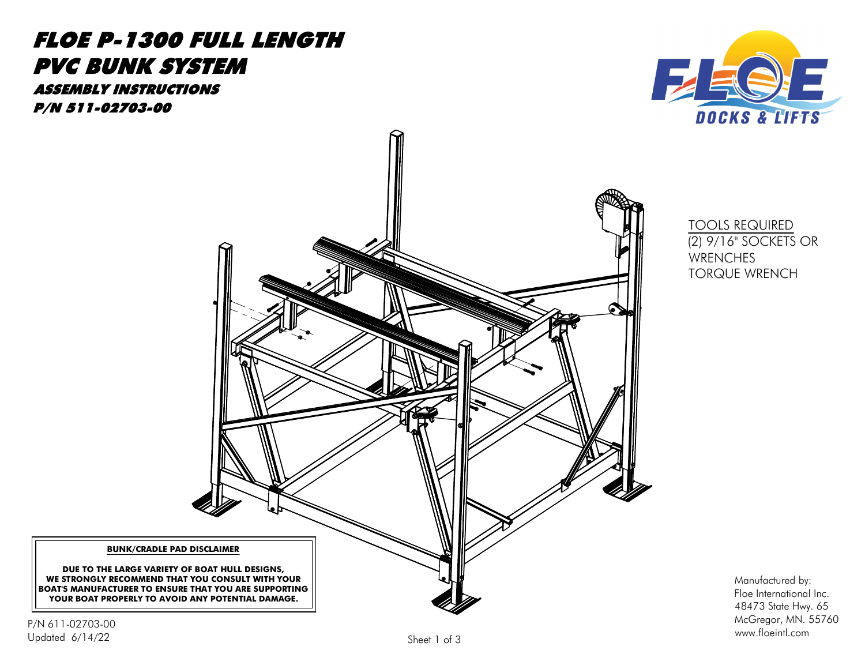

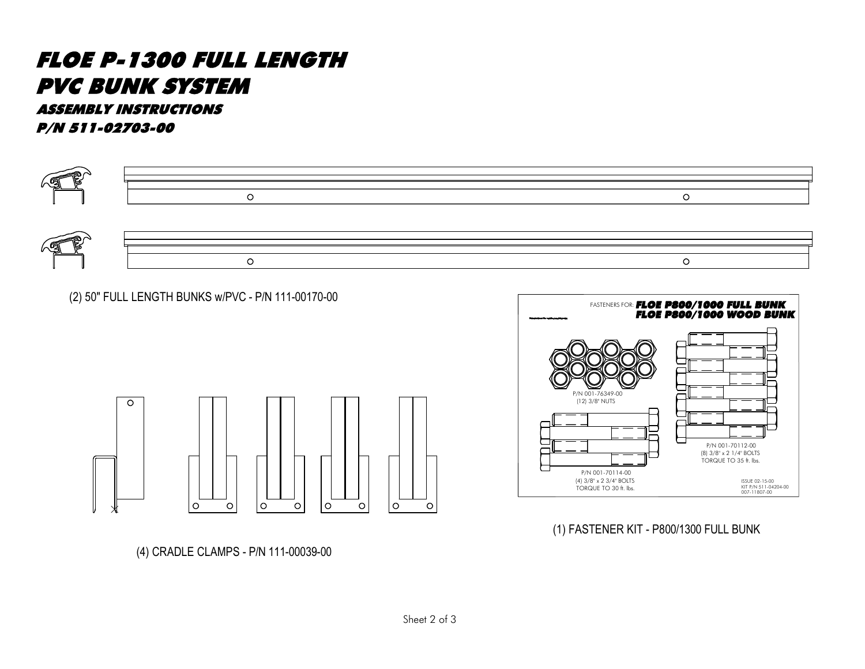



![](_page_1_Figure_6.jpeg)